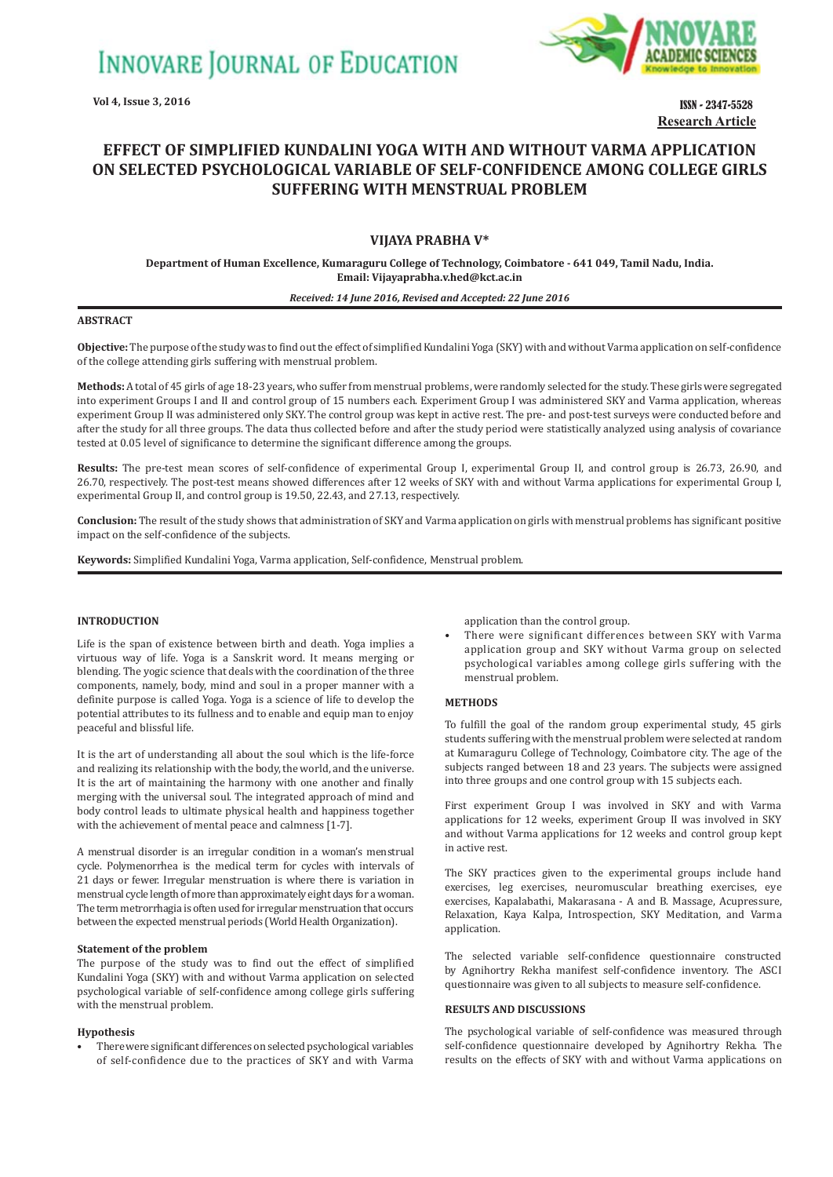**INNOVARE JOURNAL OF EDUCATION** 

**Vol 4, Issue 3, 2016**



ISSN - 2347-5528 **Research Article**

# **EFFECT OF SIMPLIFIED KUNDALINI YOGA WITH AND WITHOUT VARMA APPLICATION ON SELECTED PSYCHOLOGICAL VARIABLE OF SELFǧCONFIDENCE AMONG COLLEGE GIRLS SUFFERING WITH MENSTRUAL PROBLEM**

# **VIJAYA PRABHA V\***

**Department of Human Excellence, Kumaraguru College of Technology, Coimbatore - 641 049, Tamil Nadu, India. Email: Vijayaprabha.v.hed@kct.ac.in**

#### *Received: 14 June 2016, Revised and Accepted: 22 June 2016*

#### **ABSTRACT**

**Objective:** The purpose of the study was to find out the effect of simplified Kundalini Yoga (SKY) with and without Varma application on self-confidence of the college attending girls suffering with menstrual problem.

**Methods:** A total of 45 girls of age 18-23 years, who suffer from menstrual problems, were randomly selected for the study. These girls were segregated into experiment Groups I and II and control group of 15 numbers each. Experiment Group I was administered SKY and Varma application, whereas experiment Group II was administered only SKY. The control group was kept in active rest. The pre- and post-test surveys were conducted before and after the study for all three groups. The data thus collected before and after the study period were statistically analyzed using analysis of covariance tested at 0.05 level of significance to determine the significant difference among the groups.

**Results:** The pre-test mean scores of self-confidence of experimental Group I, experimental Group II, and control group is 26.73, 26.90, and 26.70, respectively. The post-test means showed differences after 12 weeks of SKY with and without Varma applications for experimental Group I, experimental Group II, and control group is 19.50, 22.43, and 27.13, respectively.

**Conclusion:** The result of the study shows that administration of SKY and Varma application on girls with menstrual problems has significant positive impact on the self-confidence of the subjects.

**Keywords:** Simplified Kundalini Yoga, Varma application, Self-confidence, Menstrual problem.

## **INTRODUCTION**

Life is the span of existence between birth and death. Yoga implies a virtuous way of life. Yoga is a Sanskrit word. It means merging or blending. The yogic science that deals with the coordination of the three components, namely, body, mind and soul in a proper manner with a definite purpose is called Yoga. Yoga is a science of life to develop the potential attributes to its fullness and to enable and equip man to enjoy peaceful and blissful life.

It is the art of understanding all about the soul which is the life-force and realizing its relationship with the body, the world, and the universe. It is the art of maintaining the harmony with one another and finally merging with the universal soul. The integrated approach of mind and body control leads to ultimate physical health and happiness together with the achievement of mental peace and calmness [1-7].

A menstrual disorder is an irregular condition in a woman's menstrual cycle. Polymenorrhea is the medical term for cycles with intervals of 21 days or fewer. Irregular menstruation is where there is variation in menstrual cycle length of more than approximately eight days for a woman. The term metrorrhagia is often used for irregular menstruation that occurs between the expected menstrual periods (World Health Organization).

#### **Statement of the problem**

The purpose of the study was to find out the effect of simplified Kundalini Yoga (SKY) with and without Varma application on selected psychological variable of self-confidence among college girls suffering with the menstrual problem.

#### **Hypothesis**

There were significant differences on selected psychological variables of self-confidence due to the practices of SKY and with Varma

application than the control group.

There were significant differences between SKY with Varma application group and SKY without Varma group on selected psychological variables among college girls suffering with the menstrual problem.

#### **METHODS**

To fulfill the goal of the random group experimental study, 45 girls students suffering with the menstrual problem were selected at random at Kumaraguru College of Technology, Coimbatore city. The age of the subjects ranged between 18 and 23 years. The subjects were assigned into three groups and one control group with 15 subjects each.

First experiment Group I was involved in SKY and with Varma applications for 12 weeks, experiment Group II was involved in SKY and without Varma applications for 12 weeks and control group kept in active rest.

The SKY practices given to the experimental groups include hand exercises, leg exercises, neuromuscular breathing exercises, eye exercises, Kapalabathi, Makarasana - A and B. Massage, Acupressure, Relaxation, Kaya Kalpa, Introspection, SKY Meditation, and Varma application.

The selected variable self-confidence questionnaire constructed by Agnihortry Rekha manifest self-confidence inventory. The ASCI questionnaire was given to all subjects to measure self-confidence.

### **RESULTS AND DISCUSSIONS**

The psychological variable of self-confidence was measured through self-confidence questionnaire developed by Agnihortry Rekha. The results on the effects of SKY with and without Varma applications on